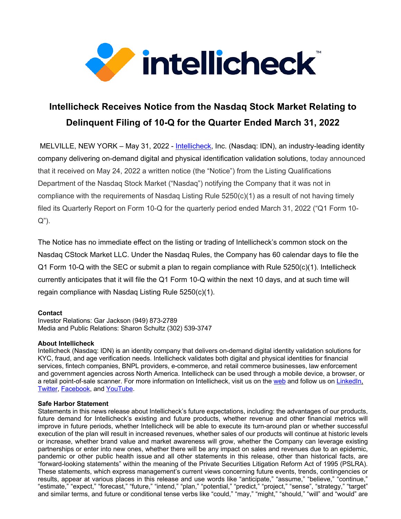

## **Intellicheck Receives Notice from the Nasdaq Stock Market Relating to Delinquent Filing of 10-Q for the Quarter Ended March 31, 2022**

MELVILLE, NEW YORK – May 31, 2022 - Intellicheck, Inc. (Nasdaq: IDN), an industry-leading identity company delivering on-demand digital and physical identification validation solutions, today announced that it received on May 24, 2022 a written notice (the "Notice") from the Listing Qualifications Department of the Nasdaq Stock Market ("Nasdaq") notifying the Company that it was not in compliance with the requirements of Nasdaq Listing Rule  $5250(c)(1)$  as a result of not having timely filed its Quarterly Report on Form 10-Q for the quarterly period ended March 31, 2022 ("Q1 Form 10- Q").

The Notice has no immediate effect on the listing or trading of Intellicheck's common stock on the Nasdaq CStock Market LLC. Under the Nasdaq Rules, the Company has 60 calendar days to file the Q1 Form 10-Q with the SEC or submit a plan to regain compliance with Rule 5250(c)(1). Intellicheck currently anticipates that it will file the Q1 Form 10-Q within the next 10 days, and at such time will regain compliance with Nasdaq Listing Rule 5250(c)(1).

## **Contact**

Investor Relations: Gar Jackson (949) 873-2789 Media and Public Relations: Sharon Schultz (302) 539-3747

## **About Intellicheck**

Intellicheck (Nasdaq: IDN) is an identity company that delivers on-demand digital identity validation solutions for KYC, fraud, and age verification needs. Intellicheck validates both digital and physical identities for financial services, fintech companies, BNPL providers, e-commerce, and retail commerce businesses, law enforcement and government agencies across North America. Intellicheck can be used through a mobile device, a browser, or a retail point-of-sale scanner. For more information on Intellicheck, visit us on the web and follow us on LinkedIn, Twitter, Facebook, and YouTube.

## **Safe Harbor Statement**

Statements in this news release about Intellicheck's future expectations, including: the advantages of our products, future demand for Intellicheck's existing and future products, whether revenue and other financial metrics will improve in future periods, whether Intellicheck will be able to execute its turn-around plan or whether successful execution of the plan will result in increased revenues, whether sales of our products will continue at historic levels or increase, whether brand value and market awareness will grow, whether the Company can leverage existing partnerships or enter into new ones, whether there will be any impact on sales and revenues due to an epidemic, pandemic or other public health issue and all other statements in this release, other than historical facts, are "forward-looking statements" within the meaning of the Private Securities Litigation Reform Act of 1995 (PSLRA). These statements, which express management's current views concerning future events, trends, contingencies or results, appear at various places in this release and use words like "anticipate," "assume," "believe," "continue," "estimate," "expect," "forecast," "future," "intend," "plan," "potential," "predict," "project," "sense", "strategy," "target" and similar terms, and future or conditional tense verbs like "could," "may," "might," "should," "will" and "would" are